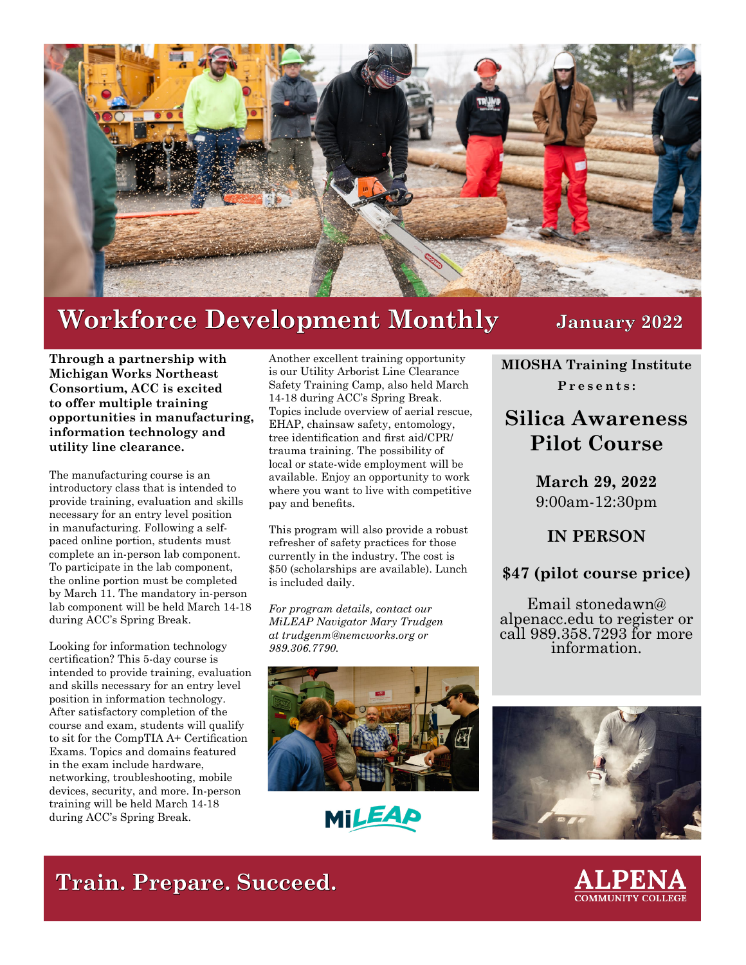

## **Workforce Development Monthly January 2022**

**Through a partnership with Michigan Works Northeast Consortium, ACC is excited to offer multiple training opportunities in manufacturing, information technology and utility line clearance.**

The manufacturing course is an introductory class that is intended to provide training, evaluation and skills necessary for an entry level position in manufacturing. Following a selfpaced online portion, students must complete an in-person lab component. To participate in the lab component, the online portion must be completed by March 11. The mandatory in-person lab component will be held March 14-18 during ACC's Spring Break.

Looking for information technology certification? This 5-day course is intended to provide training, evaluation and skills necessary for an entry level position in information technology. After satisfactory completion of the course and exam, students will qualify to sit for the CompTIA A+ Certification Exams. Topics and domains featured in the exam include hardware, networking, troubleshooting, mobile devices, security, and more. In-person training will be held March 14-18 during ACC's Spring Break.

Another excellent training opportunity is our Utility Arborist Line Clearance Safety Training Camp, also held March 14-18 during ACC's Spring Break. Topics include overview of aerial rescue, EHAP, chainsaw safety, entomology, tree identification and first aid/CPR/ trauma training. The possibility of local or state-wide employment will be available. Enjoy an opportunity to work where you want to live with competitive pay and benefits.

This program will also provide a robust refresher of safety practices for those currently in the industry. The cost is \$50 (scholarships are available). Lunch is included daily.

*For program details, contact our MiLEAP Navigator Mary Trudgen at t[rudgenm@nemcworks.org](mailto:trudgenm%40nemcworks.org%20?subject=) or 989.306.7790.*



MILEAP

**MIOSHA Training Institute Presents:**

## **Silica Awareness Pilot Course**

**March 29, 2022** 9:00am-12:30pm

**IN PERSON**

**\$47 (pilot course price)**

Email stonedawn@ alpenacc.edu to register or call 989.358.7293 for more information.



**Train. Prepare. Succeed.**